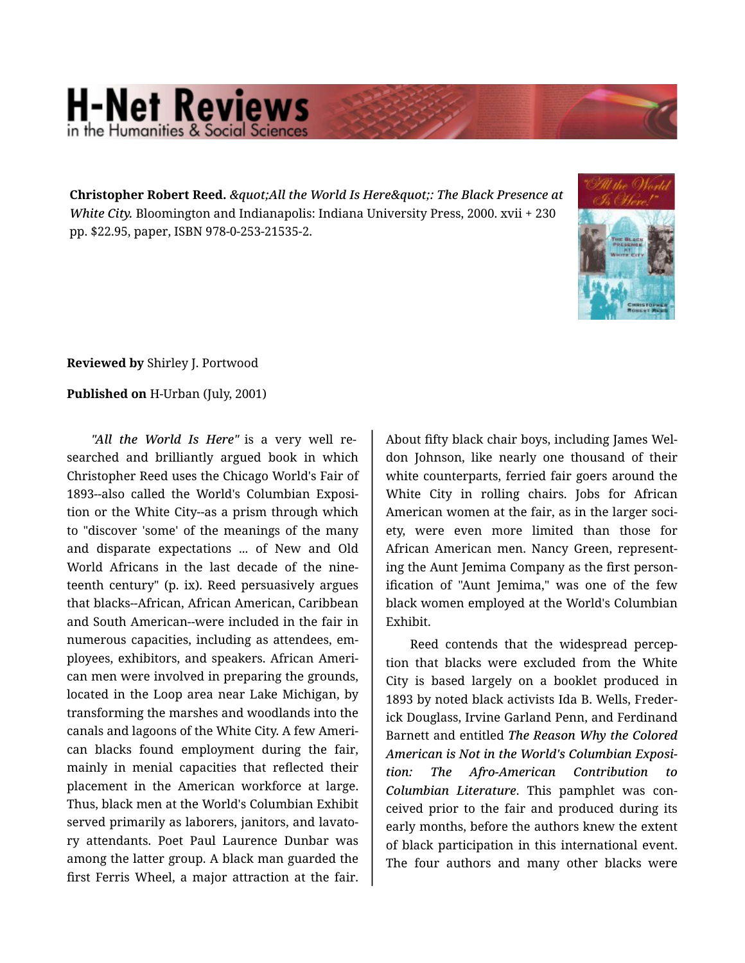## **H-Net Reviews** in the Humanities & Social Scie

Christopher Robert Reed. & *quot; All the World Is Here & quot;: The Black Presence at White City.* Bloomington and Indianapolis: Indiana University Press, 2000. xvii + 230 pp. \$22.95, paper, ISBN 978-0-253-21535-2.



## **Reviewed by** Shirley J. Portwood

## **Published on** H-Urban (July, 2001)

*"All the World Is Here"* is a very well re‐ searched and brilliantly argued book in which Christopher Reed uses the Chicago World's Fair of 1893--also called the World's Columbian Exposi‐ tion or the White City--as a prism through which to "discover 'some' of the meanings of the many and disparate expectations ... of New and Old World Africans in the last decade of the nine‐ teenth century" (p. ix). Reed persuasively argues that blacks--African, African American, Caribbean and South American--were included in the fair in numerous capacities, including as attendees, em‐ ployees, exhibitors, and speakers. African Ameri‐ can men were involved in preparing the grounds, located in the Loop area near Lake Michigan, by transforming the marshes and woodlands into the canals and lagoons of the White City. A few Ameri‐ can blacks found employment during the fair, mainly in menial capacities that reflected their placement in the American workforce at large. Thus, black men at the World's Columbian Exhibit served primarily as laborers, janitors, and lavato‐ ry attendants. Poet Paul Laurence Dunbar was among the latter group. A black man guarded the first Ferris Wheel, a major attraction at the fair.

About fifty black chair boys, including James Wel‐ don Johnson, like nearly one thousand of their white counterparts, ferried fair goers around the White City in rolling chairs. Jobs for African American women at the fair, as in the larger soci‐ ety, were even more limited than those for African American men. Nancy Green, represent‐ ing the Aunt Jemima Company as the first person‐ ification of "Aunt Jemima," was one of the few black women employed at the World's Columbian Exhibit.

Reed contends that the widespread percep‐ tion that blacks were excluded from the White City is based largely on a booklet produced in 1893 by noted black activists Ida B. Wells, Freder‐ ick Douglass, Irvine Garland Penn, and Ferdinand Barnett and entitled *The Reason Why the Colored American is Not in the World's Columbian Exposi‐ tion: The Afro-American Contribution to Columbian Literature*. This pamphlet was con‐ ceived prior to the fair and produced during its early months, before the authors knew the extent of black participation in this international event. The four authors and many other blacks were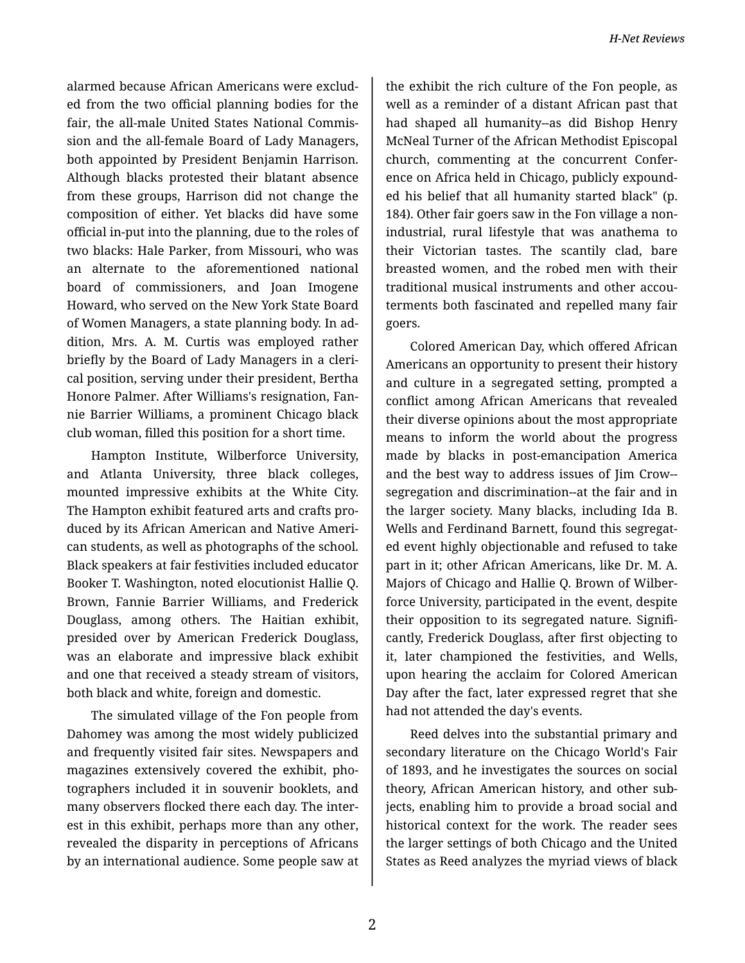alarmed because African Americans were exclud‐ ed from the two official planning bodies for the fair, the all-male United States National Commis‐ sion and the all-female Board of Lady Managers, both appointed by President Benjamin Harrison. Although blacks protested their blatant absence from these groups, Harrison did not change the composition of either. Yet blacks did have some official in-put into the planning, due to the roles of two blacks: Hale Parker, from Missouri, who was an alternate to the aforementioned national board of commissioners, and Joan Imogene Howard, who served on the New York State Board of Women Managers, a state planning body. In ad‐ dition, Mrs. A. M. Curtis was employed rather briefly by the Board of Lady Managers in a cleri‐ cal position, serving under their president, Bertha Honore Palmer. After Williams's resignation, Fan‐ nie Barrier Williams, a prominent Chicago black club woman, filled this position for a short time.

Hampton Institute, Wilberforce University, and Atlanta University, three black colleges, mounted impressive exhibits at the White City. The Hampton exhibit featured arts and crafts pro‐ duced by its African American and Native Ameri‐ can students, as well as photographs of the school. Black speakers at fair festivities included educator Booker T. Washington, noted elocutionist Hallie Q. Brown, Fannie Barrier Williams, and Frederick Douglass, among others. The Haitian exhibit, presided over by American Frederick Douglass, was an elaborate and impressive black exhibit and one that received a steady stream of visitors, both black and white, foreign and domestic.

The simulated village of the Fon people from Dahomey was among the most widely publicized and frequently visited fair sites. Newspapers and magazines extensively covered the exhibit, pho‐ tographers included it in souvenir booklets, and many observers flocked there each day. The inter‐ est in this exhibit, perhaps more than any other, revealed the disparity in perceptions of Africans by an international audience. Some people saw at

the exhibit the rich culture of the Fon people, as well as a reminder of a distant African past that had shaped all humanity--as did Bishop Henry McNeal Turner of the African Methodist Episcopal church, commenting at the concurrent Confer‐ ence on Africa held in Chicago, publicly expound‐ ed his belief that all humanity started black" (p. 184). Other fair goers saw in the Fon village a nonindustrial, rural lifestyle that was anathema to their Victorian tastes. The scantily clad, bare breasted women, and the robed men with their traditional musical instruments and other accou‐ terments both fascinated and repelled many fair goers.

Colored American Day, which offered African Americans an opportunity to present their history and culture in a segregated setting, prompted a conflict among African Americans that revealed their diverse opinions about the most appropriate means to inform the world about the progress made by blacks in post-emancipation America and the best way to address issues of Jim Crow- segregation and discrimination--at the fair and in the larger society. Many blacks, including Ida B. Wells and Ferdinand Barnett, found this segregat‐ ed event highly objectionable and refused to take part in it; other African Americans, like Dr. M. A. Majors of Chicago and Hallie Q. Brown of Wilber‐ force University, participated in the event, despite their opposition to its segregated nature. Signifi‐ cantly, Frederick Douglass, after first objecting to it, later championed the festivities, and Wells, upon hearing the acclaim for Colored American Day after the fact, later expressed regret that she had not attended the day's events.

Reed delves into the substantial primary and secondary literature on the Chicago World's Fair of 1893, and he investigates the sources on social theory, African American history, and other sub‐ jects, enabling him to provide a broad social and historical context for the work. The reader sees the larger settings of both Chicago and the United States as Reed analyzes the myriad views of black